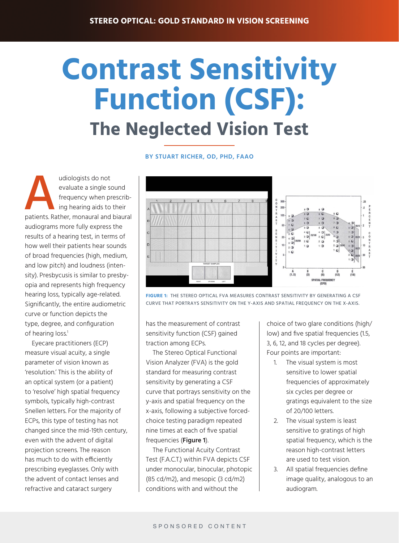# **Contrast Sensitivity Function (CSF): The Neglected Vision Test**

#### **BY STUART RICHER, OD, PHD, FAAO**

udiologists do not<br>
evaluate a single sound<br>
frequency when prescrib-<br>
ing hearing aids to their<br>
patients. Rather, monaural and biaural evaluate a single sound frequency when prescribing hearing aids to their audiograms more fully express the results of a hearing test, in terms of how well their patients hear sounds of broad frequencies (high, medium, and low pitch) and loudness (intensity). Presbycusis is similar to presbyopia and represents high frequency hearing loss, typically age-related. Significantly, the entire audiometric curve or function depicts the type, degree, and configuration of hearing loss.<sup>1</sup>

Eyecare practitioners (ECP) measure visual acuity, a single parameter of vision known as 'resolution.' This is the ability of an optical system (or a patient) to 'resolve' high spatial frequency symbols, typically high-contrast Snellen letters. For the majority of ECPs, this type of testing has not changed since the mid-19th century, even with the advent of digital projection screens. The reason has much to do with efficiently prescribing eyeglasses. Only with the advent of contact lenses and refractive and cataract surgery





has the measurement of contrast sensitivity function (CSF) gained traction among ECPs.

The Stereo Optical Functional Vision Analyzer (FVA) is the gold standard for measuring contrast sensitivity by generating a CSF curve that portrays sensitivity on the y-axis and spatial frequency on the x-axis, following a subjective forcedchoice testing paradigm repeated nine times at each of five spatial frequencies (**Figure 1**).

The Functional Acuity Contrast Test (F.A.C.T.) within FVA depicts CSF under monocular, binocular, photopic (85 cd/m2), and mesopic (3 cd/m2) conditions with and without the

choice of two glare conditions (high/ low) and five spatial frequencies (1.5, 3, 6, 12, and 18 cycles per degree). Four points are important:

- 1. The visual system is most sensitive to lower spatial frequencies of approximately six cycles per degree or gratings equivalent to the size of 20/100 letters.
- 2. The visual system is least sensitive to gratings of high spatial frequency, which is the reason high-contrast letters are used to test vision.
- 3. All spatial frequencies define image quality, analogous to an audiogram.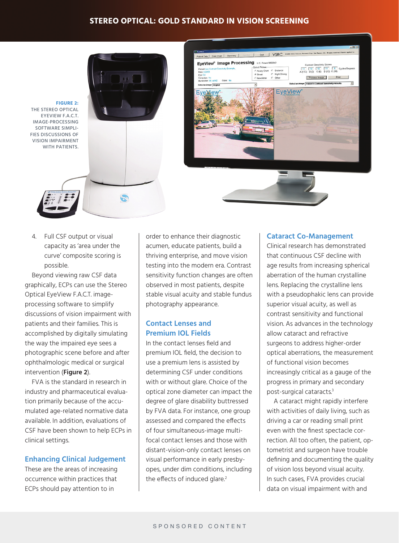# **STEREO OPTICAL: GOLD STANDARD IN VISION SCREENING**





4. Full CSF output or visual capacity as 'area under the curve' composite scoring is possible.

Beyond viewing raw CSF data graphically, ECPs can use the Stereo Optical EyeView F.A.C.T. imageprocessing software to simplify discussions of vision impairment with patients and their families. This is accomplished by digitally simulating the way the impaired eye sees a photographic scene before and after ophthalmologic medical or surgical intervention (**Figure 2**).

FVA is the standard in research in industry and pharmaceutical evaluation primarily because of the accumulated age-related normative data available. In addition, evaluations of CSF have been shown to help ECPs in clinical settings.

# **Enhancing Clinical Judgement**

These are the areas of increasing occurrence within practices that ECPs should pay attention to in

order to enhance their diagnostic acumen, educate patients, build a thriving enterprise, and move vision testing into the modern era. Contrast sensitivity function changes are often observed in most patients, despite stable visual acuity and stable fundus photography appearance.

# **Contact Lenses and Premium IOL Fields**

In the contact lenses field and premium IOL field, the decision to use a premium lens is assisted by determining CSF under conditions with or without glare. Choice of the optical zone diameter can impact the degree of glare disability buttressed by FVA data. For instance, one group assessed and compared the effects of four simultaneous-image multifocal contact lenses and those with distant-vision-only contact lenses on visual performance in early presbyopes, under dim conditions, including the effects of induced glare.<sup>2</sup>

### **Cataract Co-Management**

Clinical research has demonstrated that continuous CSF decline with age results from increasing spherical aberration of the human crystalline lens. Replacing the crystalline lens with a pseudophakic lens can provide superior visual acuity, as well as contrast sensitivity and functional vision. As advances in the technology allow cataract and refractive surgeons to address higher-order optical aberrations, the measurement of functional vision becomes increasingly critical as a gauge of the progress in primary and secondary post-surgical cataracts.3

A cataract might rapidly interfere with activities of daily living, such as driving a car or reading small print even with the finest spectacle correction. All too often, the patient, optometrist and surgeon have trouble defining and documenting the quality of vision loss beyond visual acuity. In such cases, FVA provides crucial data on visual impairment with and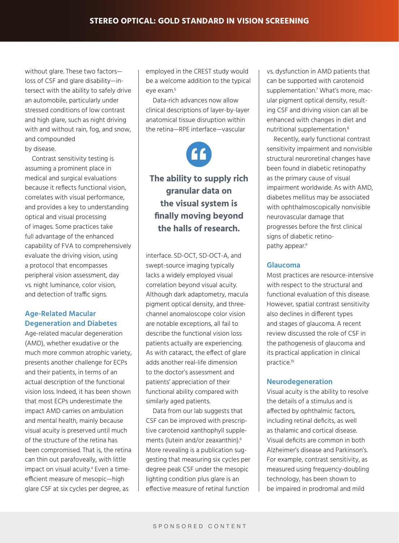without glare. These two factors loss of CSF and glare disability—intersect with the ability to safely drive an automobile, particularly under stressed conditions of low contrast and high glare, such as night driving with and without rain, fog, and snow, and compounded by disease.

Contrast sensitivity testing is assuming a prominent place in medical and surgical evaluations because it reflects functional vision, correlates with visual performance, and provides a key to understanding optical and visual processing of images. Some practices take full advantage of the enhanced capability of FVA to comprehensively evaluate the driving vision, using a protocol that encompasses peripheral vision assessment, day vs. night luminance, color vision, and detection of traffic signs.

# **Age-Related Macular Degeneration and Diabetes**

Age-related macular degeneration (AMD), whether exudative or the much more common atrophic variety, presents another challenge for ECPs and their patients, in terms of an actual description of the functional vision loss. Indeed, it has been shown that most ECPs underestimate the impact AMD carries on ambulation and mental health, mainly because visual acuity is preserved until much of the structure of the retina has been compromised. That is, the retina can thin out parafoveally, with little impact on visual acuity.4 Even a timeefficient measure of mesopic—high glare CSF at six cycles per degree, as

employed in the CREST study would be a welcome addition to the typical eye exam.5

Data-rich advances now allow clinical descriptions of layer-by-layer anatomical tissue disruption within the retina—RPE interface—vascular



**The ability to supply rich granular data on the visual system is finally moving beyond the halls of research.**

interface. SD-OCT, SD-OCT-A, and swept-source imaging typically lacks a widely employed visual correlation beyond visual acuity. Although dark adaptometry, macula pigment optical density, and threechannel anomaloscope color vision are notable exceptions, all fail to describe the functional vision loss patients actually are experiencing. As with cataract, the effect of glare adds another real-life dimension to the doctor's assessment and patients' appreciation of their functional ability compared with similarly aged patients.

Data from our lab suggests that CSF can be improved with prescriptive carotenoid xanthophyll supplements (lutein and/or zeaxanthin).6 More revealing is a publication suggesting that measuring six cycles per degree peak CSF under the mesopic lighting condition plus glare is an effective measure of retinal function

vs. dysfunction in AMD patients that can be supported with carotenoid supplementation.7 What's more, macular pigment optical density, resulting CSF and driving vision can all be enhanced with changes in diet and nutritional supplementation.8

Recently, early functional contrast sensitivity impairment and nonvisible structural neuroretinal changes have been found in diabetic retinopathy as the primary cause of visual impairment worldwide. As with AMD, diabetes mellitus may be associated with ophthalmoscopically nonvisible neurovascular damage that progresses before the first clinical signs of diabetic retinopathy appear.<sup>9</sup>

# **Glaucoma**

Most practices are resource-intensive with respect to the structural and functional evaluation of this disease. However, spatial contrast sensitivity also declines in different types and stages of glaucoma. A recent review discussed the role of CSF in the pathogenesis of glaucoma and its practical application in clinical practice.10

# **Neurodegeneration**

Visual acuity is the ability to resolve the details of a stimulus and is affected by ophthalmic factors, including retinal deficits, as well as thalamic and cortical disease. Visual deficits are common in both Alzheimer's disease and Parkinson's. For example, contrast sensitivity, as measured using frequency-doubling technology, has been shown to be impaired in prodromal and mild